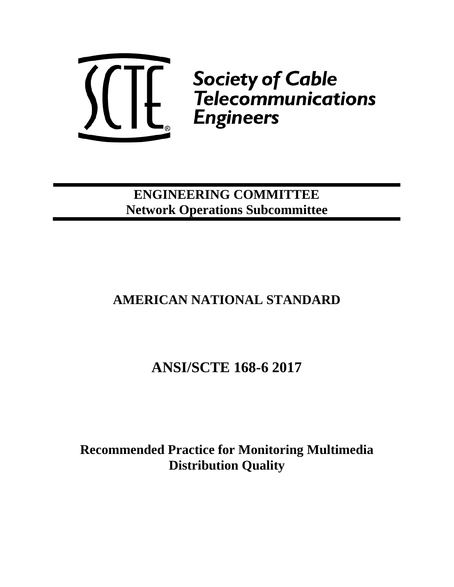

# **ENGINEERING COMMITTEE Network Operations Subcommittee**

# **AMERICAN NATIONAL STANDARD**

# **ANSI/SCTE 168-6 2017**

# **Recommended Practice for Monitoring Multimedia Distribution Quality**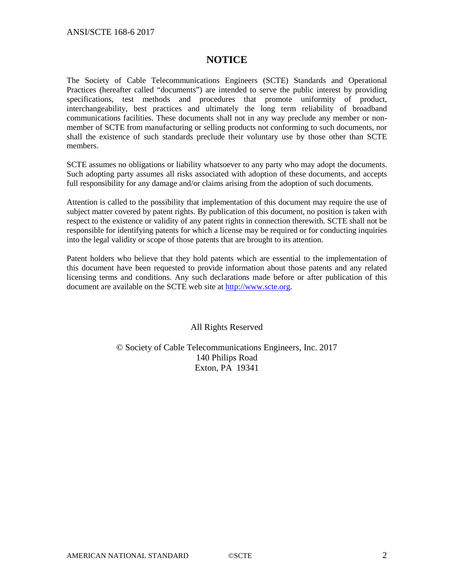## **NOTICE**

The Society of Cable Telecommunications Engineers (SCTE) Standards and Operational Practices (hereafter called "documents") are intended to serve the public interest by providing specifications, test methods and procedures that promote uniformity of product, interchangeability, best practices and ultimately the long term reliability of broadband communications facilities. These documents shall not in any way preclude any member or nonmember of SCTE from manufacturing or selling products not conforming to such documents, nor shall the existence of such standards preclude their voluntary use by those other than SCTE members.

SCTE assumes no obligations or liability whatsoever to any party who may adopt the documents. Such adopting party assumes all risks associated with adoption of these documents, and accepts full responsibility for any damage and/or claims arising from the adoption of such documents.

Attention is called to the possibility that implementation of this document may require the use of subject matter covered by patent rights. By publication of this document, no position is taken with respect to the existence or validity of any patent rights in connection therewith. SCTE shall not be responsible for identifying patents for which a license may be required or for conducting inquiries into the legal validity or scope of those patents that are brought to its attention.

Patent holders who believe that they hold patents which are essential to the implementation of this document have been requested to provide information about those patents and any related licensing terms and conditions. Any such declarations made before or after publication of this document are available on the SCTE web site at [http://www.scte.org.](http://www.scte.org/)

All Rights Reserved

© Society of Cable Telecommunications Engineers, Inc. 2017 140 Philips Road Exton, PA 19341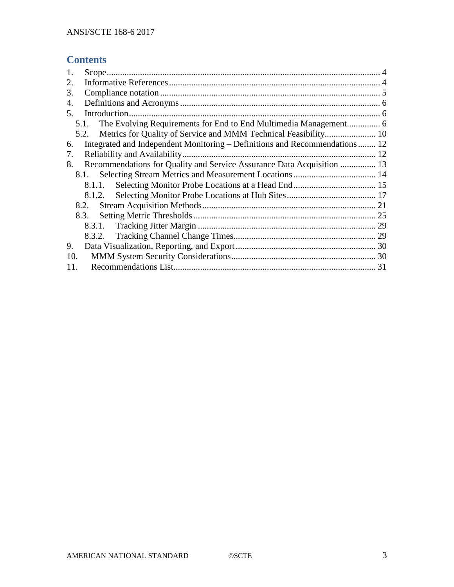# **Contents**

| 1.                                                                               |  |
|----------------------------------------------------------------------------------|--|
| 2.                                                                               |  |
| 3.                                                                               |  |
| 4.                                                                               |  |
| 5.                                                                               |  |
| 5.1.                                                                             |  |
|                                                                                  |  |
| Integrated and Independent Monitoring – Definitions and Recommendations 12<br>6. |  |
| 7.                                                                               |  |
| Recommendations for Quality and Service Assurance Data Acquisition  13<br>8.     |  |
| 8.1.                                                                             |  |
| 8.1.1.                                                                           |  |
| 8.1.2.                                                                           |  |
| 8.2.                                                                             |  |
| 8.3.                                                                             |  |
|                                                                                  |  |
|                                                                                  |  |
| 9.                                                                               |  |
| 10.                                                                              |  |
| 11.                                                                              |  |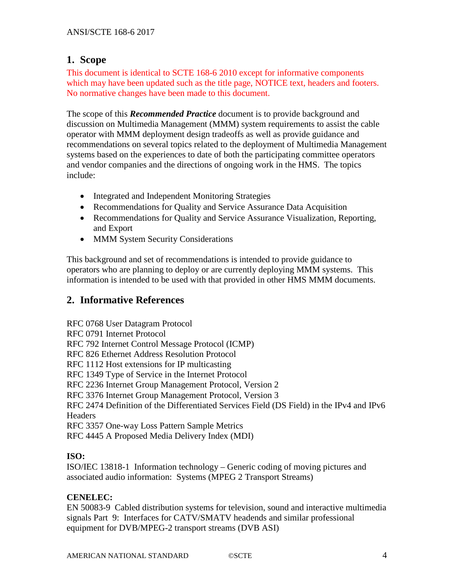## <span id="page-3-0"></span>**1. Scope**

This document is identical to SCTE 168-6 2010 except for informative components which may have been updated such as the title page, NOTICE text, headers and footers. No normative changes have been made to this document.

The scope of this *Recommended Practice* document is to provide background and discussion on Multimedia Management (MMM) system requirements to assist the cable operator with MMM deployment design tradeoffs as well as provide guidance and recommendations on several topics related to the deployment of Multimedia Management systems based on the experiences to date of both the participating committee operators and vendor companies and the directions of ongoing work in the HMS. The topics include:

- Integrated and Independent Monitoring Strategies
- Recommendations for Quality and Service Assurance Data Acquisition
- Recommendations for Quality and Service Assurance Visualization, Reporting, and Export
- MMM System Security Considerations

This background and set of recommendations is intended to provide guidance to operators who are planning to deploy or are currently deploying MMM systems. This information is intended to be used with that provided in other HMS MMM documents.

# <span id="page-3-1"></span>**2. Informative References**

RFC 0768 User Datagram Protocol RFC 0791 Internet Protocol RFC 792 Internet Control Message Protocol (ICMP) RFC 826 Ethernet Address Resolution Protocol RFC 1112 Host extensions for IP multicasting RFC 1349 Type of Service in the Internet Protocol RFC 2236 Internet Group Management Protocol, Version 2 RFC 3376 Internet Group Management Protocol, Version 3 RFC 2474 Definition of the Differentiated Services Field (DS Field) in the IPv4 and IPv6 **Headers** RFC 3357 One-way Loss Pattern Sample Metrics

RFC 4445 A Proposed Media Delivery Index (MDI)

## **ISO:**

ISO/IEC 13818-1 Information technology – Generic coding of moving pictures and associated audio information: Systems (MPEG 2 Transport Streams)

### **CENELEC:**

EN 50083-9 Cabled distribution systems for television, sound and interactive multimedia signals Part 9: Interfaces for CATV/SMATV headends and similar professional equipment for DVB/MPEG-2 transport streams (DVB ASI)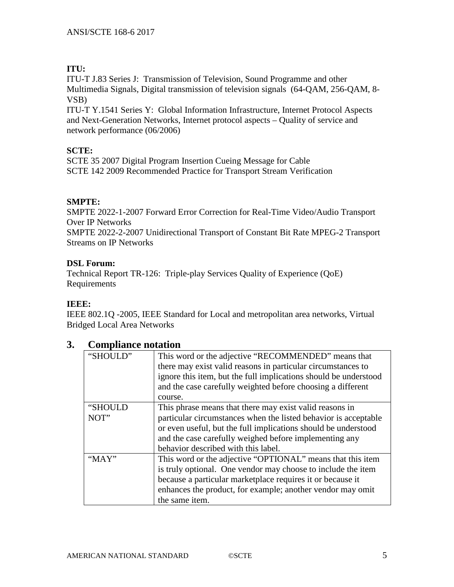## **ITU:**

ITU-T J.83 Series J: Transmission of Television, Sound Programme and other Multimedia Signals, Digital transmission of television signals (64-QAM, 256-QAM, 8- VSB)

ITU-T Y.1541 Series Y: Global Information Infrastructure, Internet Protocol Aspects and Next-Generation Networks, Internet protocol aspects – Quality of service and network performance (06/2006)

## **SCTE:**

SCTE 35 2007 Digital Program Insertion Cueing Message for Cable SCTE 142 2009 Recommended Practice for Transport Stream Verification

## **SMPTE:**

SMPTE 2022-1-2007 Forward Error Correction for Real-Time Video/Audio Transport Over IP Networks

SMPTE 2022-2-2007 Unidirectional Transport of Constant Bit Rate MPEG-2 Transport Streams on IP Networks

### **DSL Forum:**

Technical Report TR-126: Triple-play Services Quality of Experience (QoE) Requirements

### **IEEE:**

IEEE 802.1Q -2005, IEEE Standard for Local and metropolitan area networks, Virtual Bridged Local Area Networks

# <span id="page-4-0"></span>**3. Compliance notation**

| "SHOULD" | This word or the adjective "RECOMMENDED" means that<br>there may exist valid reasons in particular circumstances to<br>ignore this item, but the full implications should be understood<br>and the case carefully weighted before choosing a different<br>course. |
|----------|-------------------------------------------------------------------------------------------------------------------------------------------------------------------------------------------------------------------------------------------------------------------|
| "SHOULD  | This phrase means that there may exist valid reasons in                                                                                                                                                                                                           |
| NOT"     | particular circumstances when the listed behavior is acceptable                                                                                                                                                                                                   |
|          |                                                                                                                                                                                                                                                                   |
|          | or even useful, but the full implications should be understood                                                                                                                                                                                                    |
|          | and the case carefully weighed before implementing any                                                                                                                                                                                                            |
|          | behavior described with this label.                                                                                                                                                                                                                               |
| " $MAX"$ | This word or the adjective "OPTIONAL" means that this item                                                                                                                                                                                                        |
|          | is truly optional. One vendor may choose to include the item                                                                                                                                                                                                      |
|          | because a particular marketplace requires it or because it                                                                                                                                                                                                        |
|          | enhances the product, for example; another vendor may omit                                                                                                                                                                                                        |
|          | the same item.                                                                                                                                                                                                                                                    |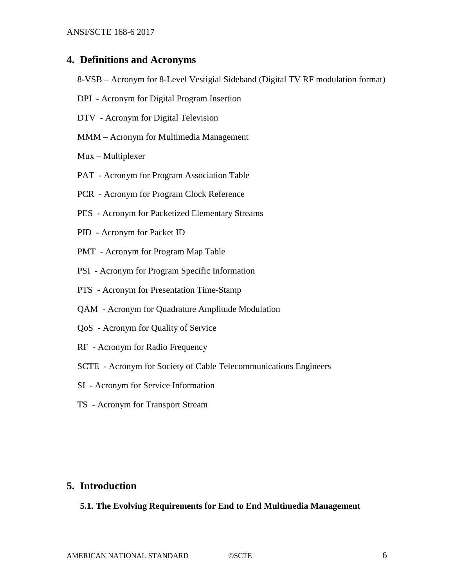#### <span id="page-5-0"></span>**4. Definitions and Acronyms**

- 8-VSB Acronym for 8-Level Vestigial Sideband (Digital TV RF modulation format)
- DPI Acronym for Digital Program Insertion
- DTV Acronym for Digital Television
- MMM Acronym for Multimedia Management
- Mux Multiplexer
- PAT Acronym for Program Association Table
- PCR Acronym for Program Clock Reference
- PES Acronym for Packetized Elementary Streams
- PID Acronym for Packet ID
- PMT Acronym for Program Map Table
- PSI Acronym for Program Specific Information
- PTS Acronym for Presentation Time-Stamp
- QAM Acronym for Quadrature Amplitude Modulation
- QoS Acronym for Quality of Service
- RF Acronym for Radio Frequency
- SCTE Acronym for Society of Cable Telecommunications Engineers
- SI Acronym for Service Information
- TS Acronym for Transport Stream

#### <span id="page-5-2"></span><span id="page-5-1"></span>**5. Introduction**

#### **5.1. The Evolving Requirements for End to End Multimedia Management**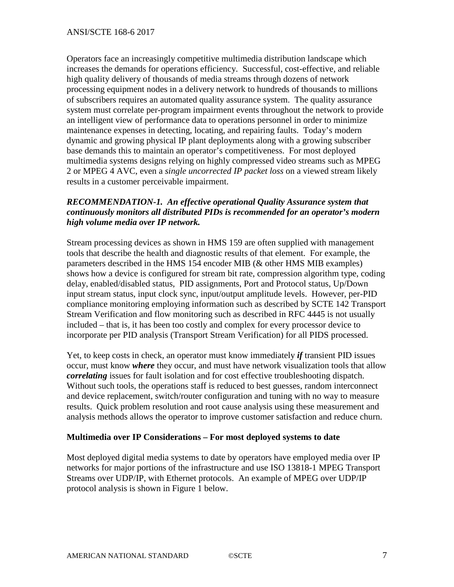Operators face an increasingly competitive multimedia distribution landscape which increases the demands for operations efficiency. Successful, cost-effective, and reliable high quality delivery of thousands of media streams through dozens of network processing equipment nodes in a delivery network to hundreds of thousands to millions of subscribers requires an automated quality assurance system. The quality assurance system must correlate per-program impairment events throughout the network to provide an intelligent view of performance data to operations personnel in order to minimize maintenance expenses in detecting, locating, and repairing faults. Today's modern dynamic and growing physical IP plant deployments along with a growing subscriber base demands this to maintain an operator's competitiveness. For most deployed multimedia systems designs relying on highly compressed video streams such as MPEG 2 or MPEG 4 AVC, even a *single uncorrected IP packet loss* on a viewed stream likely results in a customer perceivable impairment.

### *RECOMMENDATION-1. An effective operational Quality Assurance system that continuously monitors all distributed PIDs is recommended for an operator's modern high volume media over IP network.*

Stream processing devices as shown in HMS 159 are often supplied with management tools that describe the health and diagnostic results of that element. For example, the parameters described in the HMS 154 encoder MIB (& other HMS MIB examples) shows how a device is configured for stream bit rate, compression algorithm type, coding delay, enabled/disabled status, PID assignments, Port and Protocol status, Up/Down input stream status, input clock sync, input/output amplitude levels. However, per-PID compliance monitoring employing information such as described by SCTE 142 Transport Stream Verification and flow monitoring such as described in RFC 4445 is not usually included – that is, it has been too costly and complex for every processor device to incorporate per PID analysis (Transport Stream Verification) for all PIDS processed.

Yet, to keep costs in check, an operator must know immediately *if* transient PID issues occur, must know *where* they occur, and must have network visualization tools that allow *correlating* issues for fault isolation and for cost effective troubleshooting dispatch. Without such tools, the operations staff is reduced to best guesses, random interconnect and device replacement, switch/router configuration and tuning with no way to measure results. Quick problem resolution and root cause analysis using these measurement and analysis methods allows the operator to improve customer satisfaction and reduce churn.

### **Multimedia over IP Considerations – For most deployed systems to date**

Most deployed digital media systems to date by operators have employed media over IP networks for major portions of the infrastructure and use ISO 13818-1 MPEG Transport Streams over UDP/IP, with Ethernet protocols. An example of MPEG over UDP/IP protocol analysis is shown in Figure 1 below.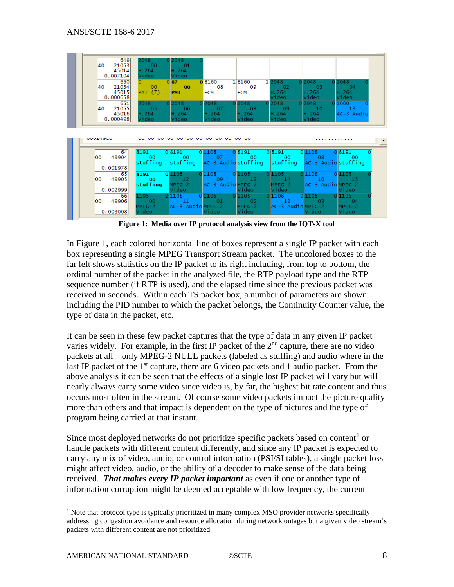

**Figure 1: Media over IP protocol analysis view from the IQTsX tool**

In Figure 1, each colored horizontal line of boxes represent a single IP packet with each box representing a single MPEG Transport Stream packet. The uncolored boxes to the far left shows statistics on the IP packet to its right including, from top to bottom, the ordinal number of the packet in the analyzed file, the RTP payload type and the RTP sequence number (if RTP is used), and the elapsed time since the previous packet was received in seconds. Within each TS packet box, a number of parameters are shown including the PID number to which the packet belongs, the Continuity Counter value, the type of data in the packet, etc.

It can be seen in these few packet captures that the type of data in any given IP packet varies widely. For example, in the first IP packet of the  $2<sup>nd</sup>$  capture, there are no video packets at all – only MPEG-2 NULL packets (labeled as stuffing) and audio where in the last IP packet of the  $1<sup>st</sup>$  capture, there are 6 video packets and 1 audio packet. From the above analysis it can be seen that the effects of a single lost IP packet will vary but will nearly always carry some video since video is, by far, the highest bit rate content and thus occurs most often in the stream. Of course some video packets impact the picture quality more than others and that impact is dependent on the type of pictures and the type of program being carried at that instant.

Since most deployed networks do not prioritize specific packets based on content<sup>[1](#page-7-0)</sup> or handle packets with different content differently, and since any IP packet is expected to carry any mix of video, audio, or control information (PSI/SI tables), a single packet loss might affect video, audio, or the ability of a decoder to make sense of the data being received. *That makes every IP packet important* as even if one or another type of information corruption might be deemed acceptable with low frequency, the current

<span id="page-7-0"></span> $1$  Note that protocol type is typically prioritized in many complex MSO provider networks specifically addressing congestion avoidance and resource allocation during network outages but a given video stream's packets with different content are not prioritized.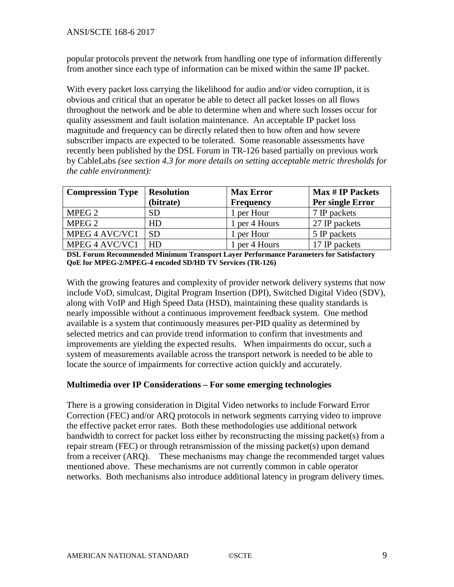popular protocols prevent the network from handling one type of information differently from another since each type of information can be mixed within the same IP packet.

With every packet loss carrying the likelihood for audio and/or video corruption, it is obvious and critical that an operator be able to detect all packet losses on all flows throughout the network and be able to determine when and where such losses occur for quality assessment and fault isolation maintenance. An acceptable IP packet loss magnitude and frequency can be directly related then to how often and how severe subscriber impacts are expected to be tolerated. Some reasonable assessments have recently been published by the DSL Forum in TR-126 based partially on previous work by CableLabs *(see section 4.3 for more details on setting acceptable metric thresholds for the cable environment):*

| <b>Compression Type</b> | <b>Resolution</b> | <b>Max Error</b> | <b>Max # IP Packets</b> |
|-------------------------|-------------------|------------------|-------------------------|
|                         | (bitrate)         | Frequency        | Per single Error        |
| MPEG 2                  | <b>SD</b>         | 1 per Hour       | 7 IP packets            |
| MPEG 2                  | HD                | 1 per 4 Hours    | 27 IP packets           |
| MPEG 4 AVC/VC1          | <b>SD</b>         | 1 per Hour       | 5 IP packets            |
| MPEG 4 AVC/VC1          | HD                | 1 per 4 Hours    | 17 IP packets           |

**DSL Forum Recommended Minimum Transport Layer Performance Parameters for Satisfactory QoE for MPEG-2/MPEG-4 encoded SD/HD TV Services (TR-126)**

With the growing features and complexity of provider network delivery systems that now include VoD, simulcast, Digital Program Insertion (DPI), Switched Digital Video (SDV), along with VoIP and High Speed Data (HSD), maintaining these quality standards is nearly impossible without a continuous improvement feedback system. One method available is a system that continuously measures per-PID quality as determined by selected metrics and can provide trend information to confirm that investments and improvements are yielding the expected results. When impairments do occur, such a system of measurements available across the transport network is needed to be able to locate the source of impairments for corrective action quickly and accurately.

#### **Multimedia over IP Considerations – For some emerging technologies**

There is a growing consideration in Digital Video networks to include Forward Error Correction (FEC) and/or ARQ protocols in network segments carrying video to improve the effective packet error rates. Both these methodologies use additional network bandwidth to correct for packet loss either by reconstructing the missing packet(s) from a repair stream (FEC) or through retransmission of the missing packet(s) upon demand from a receiver (ARQ). These mechanisms may change the recommended target values mentioned above. These mechanisms are not currently common in cable operator networks. Both mechanisms also introduce additional latency in program delivery times.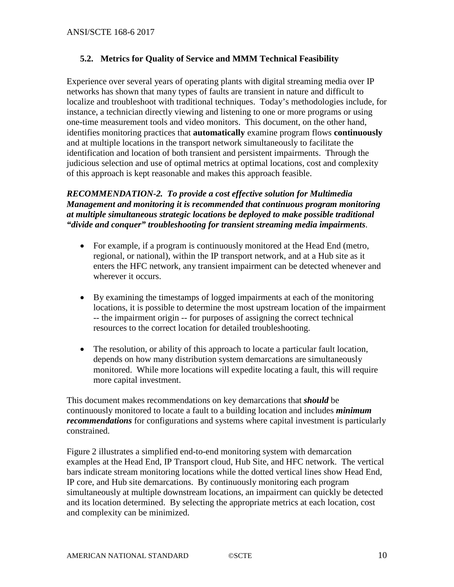### <span id="page-9-0"></span>**5.2. Metrics for Quality of Service and MMM Technical Feasibility**

Experience over several years of operating plants with digital streaming media over IP networks has shown that many types of faults are transient in nature and difficult to localize and troubleshoot with traditional techniques. Today's methodologies include, for instance, a technician directly viewing and listening to one or more programs or using one-time measurement tools and video monitors. This document, on the other hand, identifies monitoring practices that **automatically** examine program flows **continuously** and at multiple locations in the transport network simultaneously to facilitate the identification and location of both transient and persistent impairments. Through the judicious selection and use of optimal metrics at optimal locations, cost and complexity of this approach is kept reasonable and makes this approach feasible.

*RECOMMENDATION-2. To provide a cost effective solution for Multimedia Management and monitoring it is recommended that continuous program monitoring at multiple simultaneous strategic locations be deployed to make possible traditional "divide and conquer" troubleshooting for transient streaming media impairments*.

- For example, if a program is continuously monitored at the Head End (metro, regional, or national), within the IP transport network, and at a Hub site as it enters the HFC network, any transient impairment can be detected whenever and wherever it occurs.
- By examining the timestamps of logged impairments at each of the monitoring locations, it is possible to determine the most upstream location of the impairment -- the impairment origin -- for purposes of assigning the correct technical resources to the correct location for detailed troubleshooting.
- The resolution, or ability of this approach to locate a particular fault location, depends on how many distribution system demarcations are simultaneously monitored. While more locations will expedite locating a fault, this will require more capital investment.

This document makes recommendations on key demarcations that *should* be continuously monitored to locate a fault to a building location and includes *minimum recommendations* for configurations and systems where capital investment is particularly constrained.

Figure 2 illustrates a simplified end-to-end monitoring system with demarcation examples at the Head End, IP Transport cloud, Hub Site, and HFC network. The vertical bars indicate stream monitoring locations while the dotted vertical lines show Head End, IP core, and Hub site demarcations. By continuously monitoring each program simultaneously at multiple downstream locations, an impairment can quickly be detected and its location determined. By selecting the appropriate metrics at each location, cost and complexity can be minimized.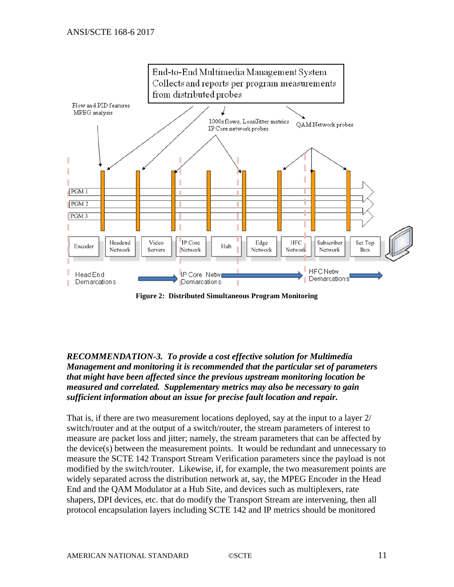

**Figure 2: Distributed Simultaneous Program Monitoring**

*RECOMMENDATION-3. To provide a cost effective solution for Multimedia Management and monitoring it is recommended that the particular set of parameters that might have been affected since the previous upstream monitoring location be measured and correlated. Supplementary metrics may also be necessary to gain sufficient information about an issue for precise fault location and repair.*

That is, if there are two measurement locations deployed, say at the input to a layer 2/ switch/router and at the output of a switch/router, the stream parameters of interest to measure are packet loss and jitter; namely, the stream parameters that can be affected by the device(s) between the measurement points. It would be redundant and unnecessary to measure the SCTE 142 Transport Stream Verification parameters since the payload is not modified by the switch/router. Likewise, if, for example, the two measurement points are widely separated across the distribution network at, say, the MPEG Encoder in the Head End and the QAM Modulator at a Hub Site, and devices such as multiplexers, rate shapers, DPI devices, etc. that do modify the Transport Stream are intervening, then all protocol encapsulation layers including SCTE 142 and IP metrics should be monitored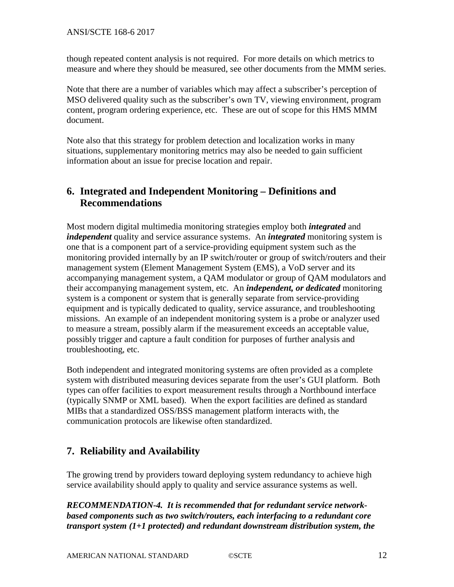though repeated content analysis is not required. For more details on which metrics to measure and where they should be measured, see other documents from the MMM series.

Note that there are a number of variables which may affect a subscriber's perception of MSO delivered quality such as the subscriber's own TV, viewing environment, program content, program ordering experience, etc. These are out of scope for this HMS MMM document.

Note also that this strategy for problem detection and localization works in many situations, supplementary monitoring metrics may also be needed to gain sufficient information about an issue for precise location and repair.

# <span id="page-11-0"></span>**6. Integrated and Independent Monitoring – Definitions and Recommendations**

Most modern digital multimedia monitoring strategies employ both *integrated* and *independent* quality and service assurance systems. An *integrated* monitoring system is one that is a component part of a service-providing equipment system such as the monitoring provided internally by an IP switch/router or group of switch/routers and their management system (Element Management System (EMS), a VoD server and its accompanying management system, a QAM modulator or group of QAM modulators and their accompanying management system, etc. An *independent, or dedicated* monitoring system is a component or system that is generally separate from service-providing equipment and is typically dedicated to quality, service assurance, and troubleshooting missions. An example of an independent monitoring system is a probe or analyzer used to measure a stream, possibly alarm if the measurement exceeds an acceptable value, possibly trigger and capture a fault condition for purposes of further analysis and troubleshooting, etc.

Both independent and integrated monitoring systems are often provided as a complete system with distributed measuring devices separate from the user's GUI platform. Both types can offer facilities to export measurement results through a Northbound interface (typically SNMP or XML based). When the export facilities are defined as standard MIBs that a standardized OSS/BSS management platform interacts with, the communication protocols are likewise often standardized.

# <span id="page-11-1"></span>**7. Reliability and Availability**

The growing trend by providers toward deploying system redundancy to achieve high service availability should apply to quality and service assurance systems as well.

*RECOMMENDATION-4. It is recommended that for redundant service networkbased components such as two switch/routers, each interfacing to a redundant core transport system (1+1 protected) and redundant downstream distribution system, the*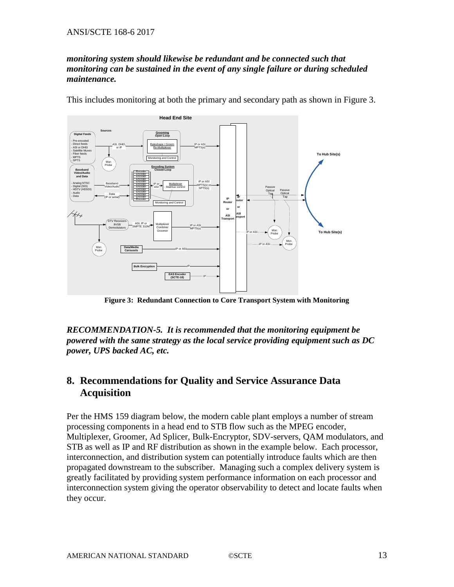#### *monitoring system should likewise be redundant and be connected such that monitoring can be sustained in the event of any single failure or during scheduled maintenance.*





**Figure 3: Redundant Connection to Core Transport System with Monitoring**

*RECOMMENDATION-5. It is recommended that the monitoring equipment be powered with the same strategy as the local service providing equipment such as DC power, UPS backed AC, etc.*

# <span id="page-12-0"></span>**8. Recommendations for Quality and Service Assurance Data Acquisition**

Per the HMS 159 diagram below, the modern cable plant employs a number of stream processing components in a head end to STB flow such as the MPEG encoder, Multiplexer, Groomer, Ad Splicer, Bulk-Encryptor, SDV-servers, QAM modulators, and STB as well as IP and RF distribution as shown in the example below. Each processor, interconnection, and distribution system can potentially introduce faults which are then propagated downstream to the subscriber. Managing such a complex delivery system is greatly facilitated by providing system performance information on each processor and interconnection system giving the operator observability to detect and locate faults when they occur.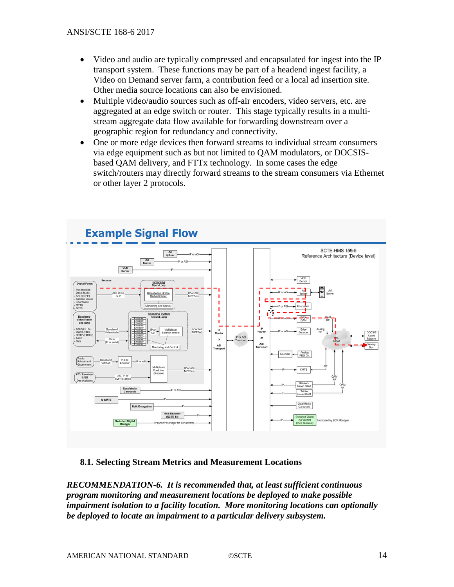- Video and audio are typically compressed and encapsulated for ingest into the IP transport system. These functions may be part of a headend ingest facility, a Video on Demand server farm, a contribution feed or a local ad insertion site. Other media source locations can also be envisioned.
- Multiple video/audio sources such as off-air encoders, video servers, etc. are aggregated at an edge switch or router. This stage typically results in a multistream aggregate data flow available for forwarding downstream over a geographic region for redundancy and connectivity.
- One or more edge devices then forward streams to individual stream consumers via edge equipment such as but not limited to QAM modulators, or DOCSISbased QAM delivery, and FTTx technology. In some cases the edge switch/routers may directly forward streams to the stream consumers via Ethernet or other layer 2 protocols.



### <span id="page-13-0"></span>**8.1. Selecting Stream Metrics and Measurement Locations**

*RECOMMENDATION-6. It is recommended that, at least sufficient continuous program monitoring and measurement locations be deployed to make possible impairment isolation to a facility location. More monitoring locations can optionally be deployed to locate an impairment to a particular delivery subsystem.*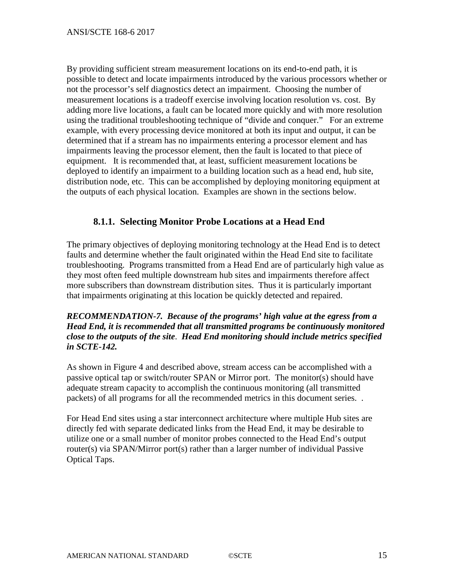By providing sufficient stream measurement locations on its end-to-end path, it is possible to detect and locate impairments introduced by the various processors whether or not the processor's self diagnostics detect an impairment. Choosing the number of measurement locations is a tradeoff exercise involving location resolution vs. cost. By adding more live locations, a fault can be located more quickly and with more resolution using the traditional troubleshooting technique of "divide and conquer." For an extreme example, with every processing device monitored at both its input and output, it can be determined that if a stream has no impairments entering a processor element and has impairments leaving the processor element, then the fault is located to that piece of equipment. It is recommended that, at least, sufficient measurement locations be deployed to identify an impairment to a building location such as a head end, hub site, distribution node, etc. This can be accomplished by deploying monitoring equipment at the outputs of each physical location. Examples are shown in the sections below.

## <span id="page-14-0"></span>**8.1.1. Selecting Monitor Probe Locations at a Head End**

The primary objectives of deploying monitoring technology at the Head End is to detect faults and determine whether the fault originated within the Head End site to facilitate troubleshooting. Programs transmitted from a Head End are of particularly high value as they most often feed multiple downstream hub sites and impairments therefore affect more subscribers than downstream distribution sites. Thus it is particularly important that impairments originating at this location be quickly detected and repaired.

### *RECOMMENDATION-7. Because of the programs' high value at the egress from a Head End, it is recommended that all transmitted programs be continuously monitored close to the outputs of the site*. *Head End monitoring should include metrics specified in SCTE-142.*

As shown in Figure 4 and described above, stream access can be accomplished with a passive optical tap or switch/router SPAN or Mirror port. The monitor(s) should have adequate stream capacity to accomplish the continuous monitoring (all transmitted packets) of all programs for all the recommended metrics in this document series. .

For Head End sites using a star interconnect architecture where multiple Hub sites are directly fed with separate dedicated links from the Head End, it may be desirable to utilize one or a small number of monitor probes connected to the Head End's output router(s) via SPAN/Mirror port(s) rather than a larger number of individual Passive Optical Taps.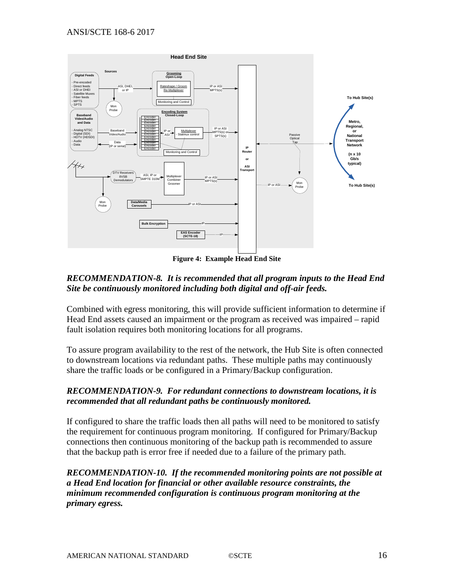

### *RECOMMENDATION-8. It is recommended that all program inputs to the Head End Site be continuously monitored including both digital and off-air feeds.*

Combined with egress monitoring, this will provide sufficient information to determine if Head End assets caused an impairment or the program as received was impaired – rapid fault isolation requires both monitoring locations for all programs.

To assure program availability to the rest of the network, the Hub Site is often connected to downstream locations via redundant paths. These multiple paths may continuously share the traffic loads or be configured in a Primary/Backup configuration.

### *RECOMMENDATION-9. For redundant connections to downstream locations, it is recommended that all redundant paths be continuously monitored.*

If configured to share the traffic loads then all paths will need to be monitored to satisfy the requirement for continuous program monitoring. If configured for Primary/Backup connections then continuous monitoring of the backup path is recommended to assure that the backup path is error free if needed due to a failure of the primary path.

*RECOMMENDATION-10. If the recommended monitoring points are not possible at a Head End location for financial or other available resource constraints, the minimum recommended configuration is continuous program monitoring at the primary egress.*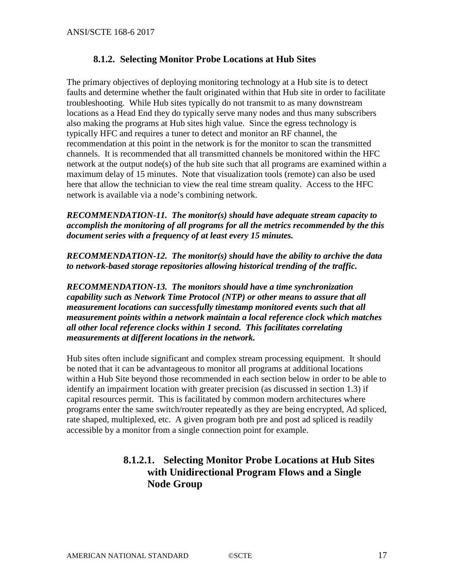## **8.1.2. Selecting Monitor Probe Locations at Hub Sites**

<span id="page-16-0"></span>The primary objectives of deploying monitoring technology at a Hub site is to detect faults and determine whether the fault originated within that Hub site in order to facilitate troubleshooting. While Hub sites typically do not transmit to as many downstream locations as a Head End they do typically serve many nodes and thus many subscribers also making the programs at Hub sites high value. Since the egress technology is typically HFC and requires a tuner to detect and monitor an RF channel, the recommendation at this point in the network is for the monitor to scan the transmitted channels. It is recommended that all transmitted channels be monitored within the HFC network at the output node(s) of the hub site such that all programs are examined within a maximum delay of 15 minutes. Note that visualization tools (remote) can also be used here that allow the technician to view the real time stream quality. Access to the HFC network is available via a node's combining network.

*RECOMMENDATION-11. The monitor(s) should have adequate stream capacity to accomplish the monitoring of all programs for all the metrics recommended by the this document series with a frequency of at least every 15 minutes.*

*RECOMMENDATION-12. The monitor(s) should have the ability to archive the data to network-based storage repositories allowing historical trending of the traffic.*

*RECOMMENDATION-13. The monitors should have a time synchronization capability such as Network Time Protocol (NTP) or other means to assure that all measurement locations can successfully timestamp monitored events such that all measurement points within a network maintain a local reference clock which matches all other local reference clocks within 1 second. This facilitates correlating measurements at different locations in the network.*

Hub sites often include significant and complex stream processing equipment. It should be noted that it can be advantageous to monitor all programs at additional locations within a Hub Site beyond those recommended in each section below in order to be able to identify an impairment location with greater precision (as discussed in section 1.3) if capital resources permit. This is facilitated by common modern architectures where programs enter the same switch/router repeatedly as they are being encrypted, Ad spliced, rate shaped, multiplexed, etc. A given program both pre and post ad spliced is readily accessible by a monitor from a single connection point for example.

# **8.1.2.1. Selecting Monitor Probe Locations at Hub Sites with Unidirectional Program Flows and a Single Node Group**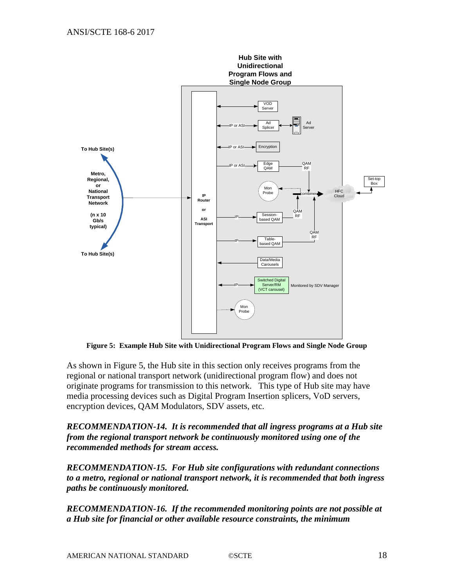

**Figure 5: Example Hub Site with Unidirectional Program Flows and Single Node Group**

As shown in Figure 5, the Hub site in this section only receives programs from the regional or national transport network (unidirectional program flow) and does not originate programs for transmission to this network. This type of Hub site may have media processing devices such as Digital Program Insertion splicers, VoD servers, encryption devices, QAM Modulators, SDV assets, etc.

*RECOMMENDATION-14. It is recommended that all ingress programs at a Hub site from the regional transport network be continuously monitored using one of the recommended methods for stream access.* 

*RECOMMENDATION-15. For Hub site configurations with redundant connections to a metro, regional or national transport network, it is recommended that both ingress paths be continuously monitored.*

*RECOMMENDATION-16. If the recommended monitoring points are not possible at a Hub site for financial or other available resource constraints, the minimum*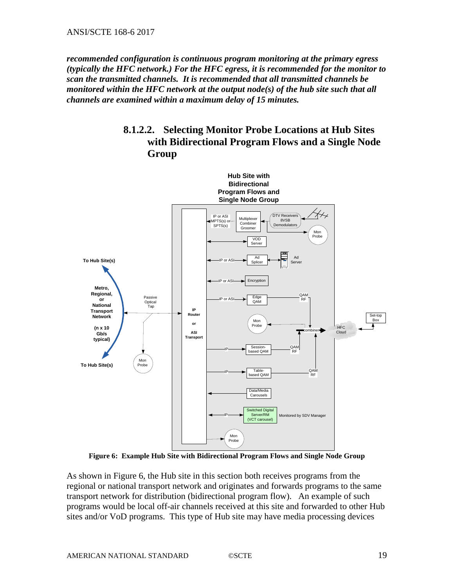*recommended configuration is continuous program monitoring at the primary egress (typically the HFC network.) For the HFC egress, it is recommended for the monitor to scan the transmitted channels. It is recommended that all transmitted channels be monitored within the HFC network at the output node(s) of the hub site such that all channels are examined within a maximum delay of 15 minutes.*

# **8.1.2.2. Selecting Monitor Probe Locations at Hub Sites with Bidirectional Program Flows and a Single Node Group**



**Figure 6: Example Hub Site with Bidirectional Program Flows and Single Node Group**

As shown in Figure 6, the Hub site in this section both receives programs from the regional or national transport network and originates and forwards programs to the same transport network for distribution (bidirectional program flow). An example of such programs would be local off-air channels received at this site and forwarded to other Hub sites and/or VoD programs. This type of Hub site may have media processing devices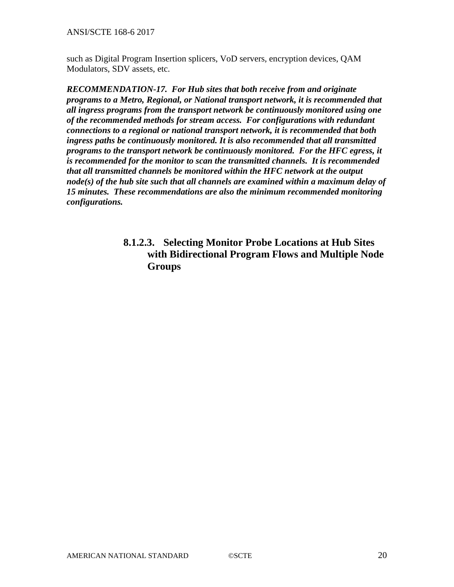ANSI/SCTE 168-6 2017

such as Digital Program Insertion splicers, VoD servers, encryption devices, QAM Modulators, SDV assets, etc.

*RECOMMENDATION-17. For Hub sites that both receive from and originate programs to a Metro, Regional, or National transport network, it is recommended that all ingress programs from the transport network be continuously monitored using one of the recommended methods for stream access. For configurations with redundant connections to a regional or national transport network, it is recommended that both ingress paths be continuously monitored. It is also recommended that all transmitted programs to the transport network be continuously monitored. For the HFC egress, it is recommended for the monitor to scan the transmitted channels. It is recommended that all transmitted channels be monitored within the HFC network at the output node(s) of the hub site such that all channels are examined within a maximum delay of 15 minutes. These recommendations are also the minimum recommended monitoring configurations.* 

# **8.1.2.3. Selecting Monitor Probe Locations at Hub Sites with Bidirectional Program Flows and Multiple Node Groups**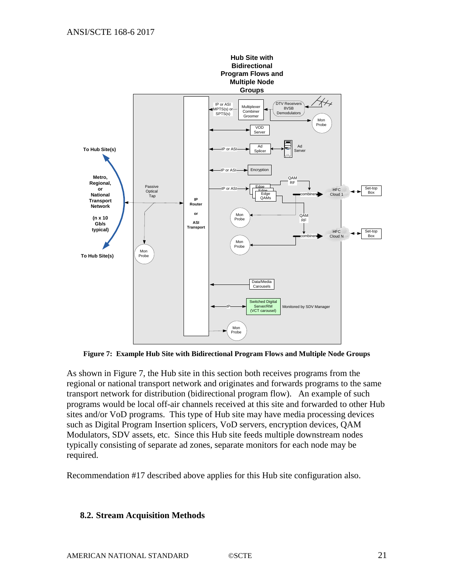

**Figure 7: Example Hub Site with Bidirectional Program Flows and Multiple Node Groups**

As shown in Figure 7, the Hub site in this section both receives programs from the regional or national transport network and originates and forwards programs to the same transport network for distribution (bidirectional program flow). An example of such programs would be local off-air channels received at this site and forwarded to other Hub sites and/or VoD programs. This type of Hub site may have media processing devices such as Digital Program Insertion splicers, VoD servers, encryption devices, QAM Modulators, SDV assets, etc. Since this Hub site feeds multiple downstream nodes typically consisting of separate ad zones, separate monitors for each node may be required.

Recommendation #17 described above applies for this Hub site configuration also.

#### <span id="page-20-0"></span>**8.2. Stream Acquisition Methods**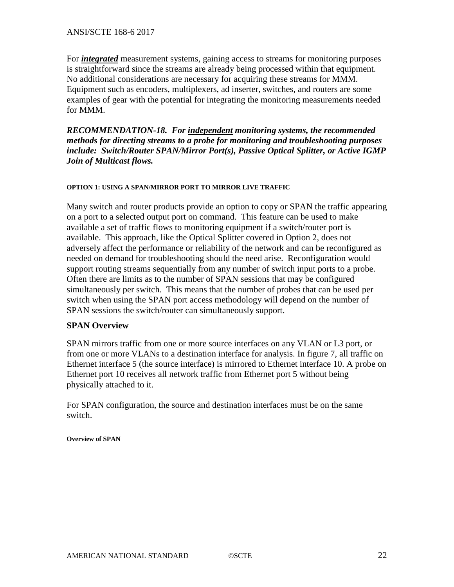For *integrated* measurement systems, gaining access to streams for monitoring purposes is straightforward since the streams are already being processed within that equipment. No additional considerations are necessary for acquiring these streams for MMM. Equipment such as encoders, multiplexers, ad inserter, switches, and routers are some examples of gear with the potential for integrating the monitoring measurements needed for MMM.

*RECOMMENDATION-18. For independent monitoring systems, the recommended methods for directing streams to a probe for monitoring and troubleshooting purposes include: Switch/Router SPAN/Mirror Port(s), Passive Optical Splitter, or Active IGMP Join of Multicast flows.*

#### **OPTION 1: USING A SPAN/MIRROR PORT TO MIRROR LIVE TRAFFIC**

Many switch and router products provide an option to copy or SPAN the traffic appearing on a port to a selected output port on command. This feature can be used to make available a set of traffic flows to monitoring equipment if a switch/router port is available. This approach, like the Optical Splitter covered in Option 2, does not adversely affect the performance or reliability of the network and can be reconfigured as needed on demand for troubleshooting should the need arise. Reconfiguration would support routing streams sequentially from any number of switch input ports to a probe. Often there are limits as to the number of SPAN sessions that may be configured simultaneously per switch. This means that the number of probes that can be used per switch when using the SPAN port access methodology will depend on the number of SPAN sessions the switch/router can simultaneously support.

#### **SPAN Overview**

SPAN mirrors traffic from one or more source interfaces on any VLAN or L3 port, or from one or more VLANs to a destination interface for analysis. In figure 7, all traffic on Ethernet interface 5 (the source interface) is mirrored to Ethernet interface 10. A probe on Ethernet port 10 receives all network traffic from Ethernet port 5 without being physically attached to it.

For SPAN configuration, the source and destination interfaces must be on the same switch.

**Overview of SPAN**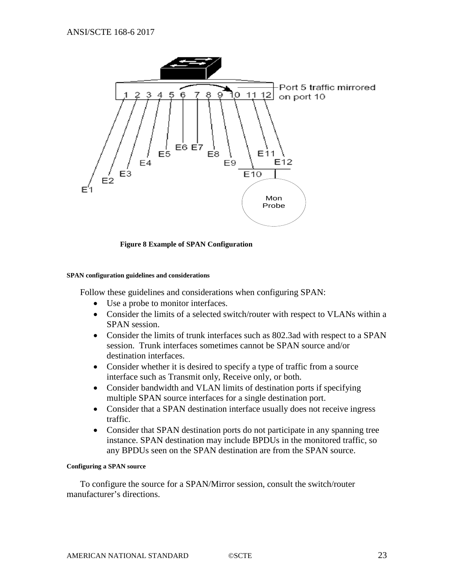

**Figure 8 Example of SPAN Configuration**

#### **SPAN configuration guidelines and considerations**

Follow these guidelines and considerations when configuring SPAN:

- Use a probe to monitor interfaces.
- Consider the limits of a selected switch/router with respect to VLANs within a SPAN session.
- Consider the limits of trunk interfaces such as 802.3ad with respect to a SPAN session. Trunk interfaces sometimes cannot be SPAN source and/or destination interfaces.
- Consider whether it is desired to specify a type of traffic from a source interface such as Transmit only, Receive only, or both.
- Consider bandwidth and VLAN limits of destination ports if specifying multiple SPAN source interfaces for a single destination port.
- Consider that a SPAN destination interface usually does not receive ingress traffic.
- Consider that SPAN destination ports do not participate in any spanning tree instance. SPAN destination may include BPDUs in the monitored traffic, so any BPDUs seen on the SPAN destination are from the SPAN source.

#### **Configuring a SPAN source**

To configure the source for a SPAN/Mirror session, consult the switch/router manufacturer's directions.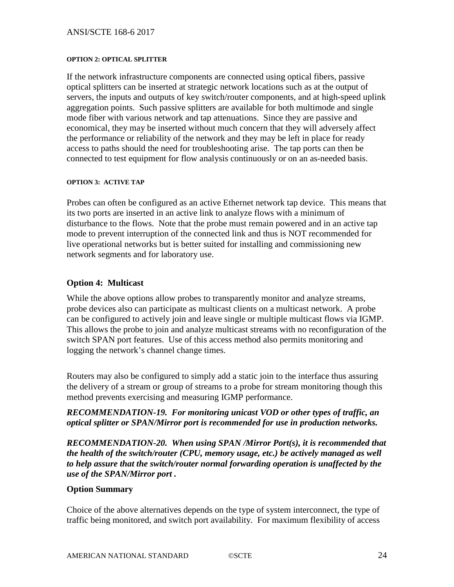#### ANSI/SCTE 168-6 2017

#### **OPTION 2: OPTICAL SPLITTER**

If the network infrastructure components are connected using optical fibers, passive optical splitters can be inserted at strategic network locations such as at the output of servers, the inputs and outputs of key switch/router components, and at high-speed uplink aggregation points. Such passive splitters are available for both multimode and single mode fiber with various network and tap attenuations. Since they are passive and economical, they may be inserted without much concern that they will adversely affect the performance or reliability of the network and they may be left in place for ready access to paths should the need for troubleshooting arise. The tap ports can then be connected to test equipment for flow analysis continuously or on an as-needed basis.

#### **OPTION 3: ACTIVE TAP**

Probes can often be configured as an active Ethernet network tap device. This means that its two ports are inserted in an active link to analyze flows with a minimum of disturbance to the flows. Note that the probe must remain powered and in an active tap mode to prevent interruption of the connected link and thus is NOT recommended for live operational networks but is better suited for installing and commissioning new network segments and for laboratory use.

#### **Option 4: Multicast**

While the above options allow probes to transparently monitor and analyze streams, probe devices also can participate as multicast clients on a multicast network. A probe can be configured to actively join and leave single or multiple multicast flows via IGMP. This allows the probe to join and analyze multicast streams with no reconfiguration of the switch SPAN port features. Use of this access method also permits monitoring and logging the network's channel change times.

Routers may also be configured to simply add a static join to the interface thus assuring the delivery of a stream or group of streams to a probe for stream monitoring though this method prevents exercising and measuring IGMP performance.

*RECOMMENDATION-19. For monitoring unicast VOD or other types of traffic, an optical splitter or SPAN/Mirror port is recommended for use in production networks.*

*RECOMMENDATION-20. When using SPAN /Mirror Port(s), it is recommended that the health of the switch/router (CPU, memory usage, etc.) be actively managed as well to help assure that the switch/router normal forwarding operation is unaffected by the use of the SPAN/Mirror port .*

#### **Option Summary**

Choice of the above alternatives depends on the type of system interconnect, the type of traffic being monitored, and switch port availability. For maximum flexibility of access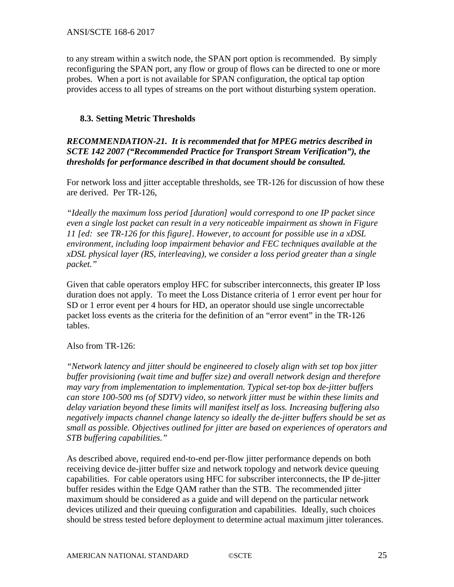to any stream within a switch node, the SPAN port option is recommended. By simply reconfiguring the SPAN port, any flow or group of flows can be directed to one or more probes. When a port is not available for SPAN configuration, the optical tap option provides access to all types of streams on the port without disturbing system operation.

#### <span id="page-24-0"></span>**8.3. Setting Metric Thresholds**

*RECOMMENDATION-21. It is recommended that for MPEG metrics described in SCTE 142 2007 ("Recommended Practice for Transport Stream Verification"), the thresholds for performance described in that document should be consulted.*

For network loss and jitter acceptable thresholds, see TR-126 for discussion of how these are derived. Per TR-126,

*"Ideally the maximum loss period [duration] would correspond to one IP packet since even a single lost packet can result in a very noticeable impairment as shown in Figure 11 [ed: see TR-126 for this figure]. However, to account for possible use in a xDSL environment, including loop impairment behavior and FEC techniques available at the xDSL physical layer (RS, interleaving), we consider a loss period greater than a single packet."* 

Given that cable operators employ HFC for subscriber interconnects, this greater IP loss duration does not apply. To meet the Loss Distance criteria of 1 error event per hour for SD or 1 error event per 4 hours for HD, an operator should use single uncorrectable packet loss events as the criteria for the definition of an "error event" in the TR-126 tables.

#### Also from TR-126:

*"Network latency and jitter should be engineered to closely align with set top box jitter buffer provisioning (wait time and buffer size) and overall network design and therefore may vary from implementation to implementation. Typical set-top box de-jitter buffers can store 100-500 ms (of SDTV) video, so network jitter must be within these limits and delay variation beyond these limits will manifest itself as loss. Increasing buffering also negatively impacts channel change latency so ideally the de-jitter buffers should be set as small as possible. Objectives outlined for jitter are based on experiences of operators and STB buffering capabilities."*

As described above, required end-to-end per-flow jitter performance depends on both receiving device de-jitter buffer size and network topology and network device queuing capabilities. For cable operators using HFC for subscriber interconnects, the IP de-jitter buffer resides within the Edge QAM rather than the STB. The recommended jitter maximum should be considered as a guide and will depend on the particular network devices utilized and their queuing configuration and capabilities. Ideally, such choices should be stress tested before deployment to determine actual maximum jitter tolerances.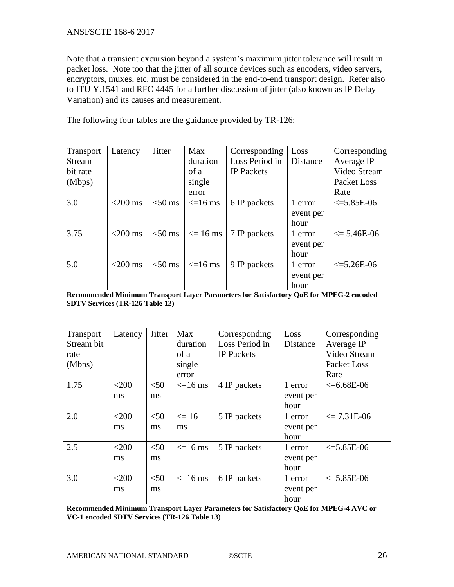#### ANSI/SCTE 168-6 2017

Note that a transient excursion beyond a system's maximum jitter tolerance will result in packet loss. Note too that the jitter of all source devices such as encoders, video servers, encryptors, muxes, etc. must be considered in the end-to-end transport design. Refer also to ITU Y.1541 and RFC 4445 for a further discussion of jitter (also known as IP Delay Variation) and its causes and measurement.

The following four tables are the guidance provided by TR-126:

| <b>Transport</b> | Latency    | <b>Jitter</b> | <b>Max</b>    | Corresponding     | Loss      | Corresponding         |
|------------------|------------|---------------|---------------|-------------------|-----------|-----------------------|
| <b>Stream</b>    |            |               | duration      | Loss Period in    | Distance  | Average IP            |
| bit rate         |            |               | of a          | <b>IP</b> Packets |           | Video Stream          |
| (Mbps)           |            |               | single        |                   |           | Packet Loss           |
|                  |            |               | error         |                   |           | Rate                  |
| 3.0              | $<$ 200 ms | $<$ 50 ms     | $\leq$ =16 ms | 6 IP packets      | 1 error   | $\leq 5.85E-06$       |
|                  |            |               |               |                   | event per |                       |
|                  |            |               |               |                   | hour      |                       |
| 3.75             | $<$ 200 ms | $<$ 50 ms     | $\leq$ 16 ms  | 7 IP packets      | 1 error   | $\epsilon$ = 5.46E-06 |
|                  |            |               |               |                   | event per |                       |
|                  |            |               |               |                   | hour      |                       |
| 5.0              | $<$ 200 ms | $<$ 50 ms     | $\leq$ =16 ms | 9 IP packets      | 1 error   | $\leq 5.26E-06$       |
|                  |            |               |               |                   | event per |                       |
|                  |            |               |               |                   | hour      |                       |

**Recommended Minimum Transport Layer Parameters for Satisfactory QoE for MPEG-2 encoded SDTV Services (TR-126 Table 12)**

| <b>Transport</b> | Latency | <b>Jitter</b> | Max          | Corresponding     | Loss      | Corresponding         |
|------------------|---------|---------------|--------------|-------------------|-----------|-----------------------|
| Stream bit       |         |               | duration     | Loss Period in    | Distance  | Average IP            |
| rate             |         |               | of a         | <b>IP</b> Packets |           | Video Stream          |
| (Mbps)           |         |               | single       |                   |           | <b>Packet Loss</b>    |
|                  |         |               | error        |                   |           | Rate                  |
| 1.75             | $<$ 200 | $50$          | $\leq$ 16 ms | 4 IP packets      | 1 error   | $<=6.68E-06$          |
|                  | ms      | ms            |              |                   | event per |                       |
|                  |         |               |              |                   | hour      |                       |
| 2.0              | $<$ 200 | $<$ 50        | $\leq 16$    | 5 IP packets      | 1 error   | $\epsilon$ = 7.31E-06 |
|                  | ms      | ms            | ms           |                   | event per |                       |
|                  |         |               |              |                   | hour      |                       |
| 2.5              | $<$ 200 | $<$ 50        | $\leq$ 16 ms | 5 IP packets      | 1 error   | $\leq 5.85E-06$       |
|                  | ms      | ms            |              |                   | event per |                       |
|                  |         |               |              |                   | hour      |                       |
| 3.0              | $<$ 200 | < 50          | $\leq$ 16 ms | 6 IP packets      | 1 error   | $\leq 5.85E-06$       |
|                  | ms      | ms            |              |                   | event per |                       |
|                  |         |               |              |                   | hour      |                       |

**Recommended Minimum Transport Layer Parameters for Satisfactory QoE for MPEG-4 AVC or VC-1 encoded SDTV Services (TR-126 Table 13)**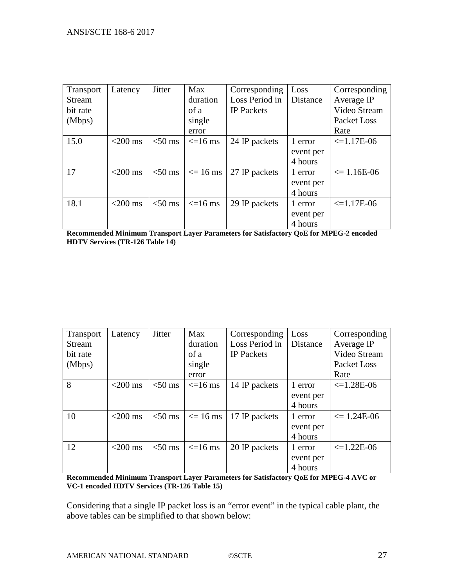| Transport | Latency    | <b>Jitter</b> | <b>Max</b>    | Corresponding     | Loss      | Corresponding         |
|-----------|------------|---------------|---------------|-------------------|-----------|-----------------------|
| Stream    |            |               | duration      | Loss Period in    | Distance  | Average IP            |
| bit rate  |            |               | of a          | <b>IP</b> Packets |           | Video Stream          |
| (Mbps)    |            |               | single        |                   |           | Packet Loss           |
|           |            |               | error         |                   |           | Rate                  |
| 15.0      | $<$ 200 ms | $<$ 50 ms     | $\leq$ =16 ms | 24 IP packets     | 1 error   | $\leq 1.17E-06$       |
|           |            |               |               |                   | event per |                       |
|           |            |               |               |                   | 4 hours   |                       |
| 17        | $<$ 200 ms | $<$ 50 ms     | $\leq$ 16 ms  | 27 IP packets     | 1 error   | $\epsilon$ = 1.16E-06 |
|           |            |               |               |                   | event per |                       |
|           |            |               |               |                   | 4 hours   |                       |
| 18.1      | $<$ 200 ms | $<$ 50 ms     | $\leq$ 16 ms  | 29 IP packets     | 1 error   | $\leq 1.17E-06$       |
|           |            |               |               |                   | event per |                       |
|           |            |               |               |                   | 4 hours   |                       |

**Recommended Minimum Transport Layer Parameters for Satisfactory QoE for MPEG-2 encoded HDTV Services (TR-126 Table 14)**

| Transport     | Latency    | <b>Jitter</b> | <b>Max</b>    | Corresponding     | Loss      | Corresponding           |
|---------------|------------|---------------|---------------|-------------------|-----------|-------------------------|
| <b>Stream</b> |            |               | duration      | Loss Period in    | Distance  | Average IP              |
| bit rate      |            |               | of a          | <b>IP</b> Packets |           | Video Stream            |
| (Mbps)        |            |               | single        |                   |           | Packet Loss             |
|               |            |               | error         |                   |           | Rate                    |
| 8             | $<$ 200 ms | $<$ 50 ms     | $\leq$ =16 ms | 14 IP packets     | 1 error   | $\leq 1.28E-06$         |
|               |            |               |               |                   | event per |                         |
|               |            |               |               |                   | 4 hours   |                         |
| 10            | $<$ 200 ms | $<$ 50 ms     | $\leq$ 16 ms  | 17 IP packets     | 1 error   | $\epsilon = 1.24E - 06$ |
|               |            |               |               |                   | event per |                         |
|               |            |               |               |                   | 4 hours   |                         |
| 12            | $<$ 200 ms | $<$ 50 ms     | $\leq$ 16 ms  | 20 IP packets     | 1 error   | $\leq 1.22E-06$         |
|               |            |               |               |                   | event per |                         |
|               |            |               |               |                   | 4 hours   |                         |

**Recommended Minimum Transport Layer Parameters for Satisfactory QoE for MPEG-4 AVC or VC-1 encoded HDTV Services (TR-126 Table 15)**

Considering that a single IP packet loss is an "error event" in the typical cable plant, the above tables can be simplified to that shown below: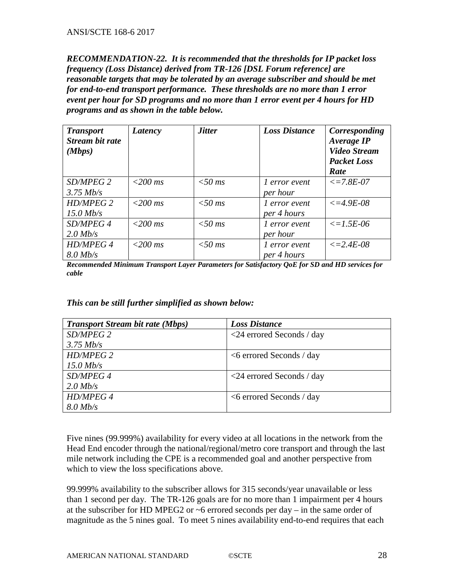*RECOMMENDATION-22. It is recommended that the thresholds for IP packet loss frequency (Loss Distance) derived from TR-126 [DSL Forum reference] are reasonable targets that may be tolerated by an average subscriber and should be met for end-to-end transport performance. These thresholds are no more than 1 error event per hour for SD programs and no more than 1 error event per 4 hours for HD programs and as shown in the table below.* 

| <b>Transport</b><br><b>Stream bit rate</b><br>(Mbps) | Latency   | <b>Jitter</b> | <b>Loss Distance</b> | Corresponding<br><b>Average IP</b><br><b>Video Stream</b><br><b>Packet Loss</b><br>Rate |
|------------------------------------------------------|-----------|---------------|----------------------|-----------------------------------------------------------------------------------------|
| SD/MPEG 2                                            | $<200$ ms | $<$ 50 ms     | 1 error event        | $\leq$ = 7.8E-07                                                                        |
| $3.75$ Mb/s                                          |           |               | per hour             |                                                                                         |
| HD/MPEG 2                                            | $<200$ ms | $<$ 50 ms     | l error event        | $\epsilon = 4.9E - 0.8$                                                                 |
| $15.0$ Mb/s                                          |           |               | per 4 hours          |                                                                                         |
| SD/MPEG 4                                            | $<200$ ms | $<$ 50 ms     | l error event        | $\leq$ = 1.5E-06                                                                        |
| $2.0$ Mb/s                                           |           |               | per hour             |                                                                                         |
| HD/MPEG 4                                            | $<200$ ms | $<$ 50 ms     | l error event        | $\leq$ = 2.4E-08                                                                        |
| $8.0$ Mb/s                                           |           |               | per 4 hours          |                                                                                         |

*Recommended Minimum Transport Layer Parameters for Satisfactory QoE for SD and HD services for cable*

### *This can be still further simplified as shown below:*

| <b>Transport Stream bit rate (Mbps)</b> | <b>Loss Distance</b>               |
|-----------------------------------------|------------------------------------|
| SD/MPEG 2                               | $\langle$ 24 errored Seconds / day |
| $3.75$ Mb/s                             |                                    |
| HD/MPEG 2                               | $<6$ errored Seconds / day         |
| $15.0$ Mb/s                             |                                    |
| SD/MPEG 4                               | $\langle$ 24 errored Seconds / day |
| $2.0$ Mb/s                              |                                    |
| <b>HD/MPEG 4</b>                        | $<6$ errored Seconds / day         |
| $8.0$ Mb/s                              |                                    |

Five nines (99.999%) availability for every video at all locations in the network from the Head End encoder through the national/regional/metro core transport and through the last mile network including the CPE is a recommended goal and another perspective from which to view the loss specifications above.

99.999% availability to the subscriber allows for 315 seconds/year unavailable or less than 1 second per day. The TR-126 goals are for no more than 1 impairment per 4 hours at the subscriber for HD MPEG2 or ~6 errored seconds per day – in the same order of magnitude as the 5 nines goal. To meet 5 nines availability end-to-end requires that each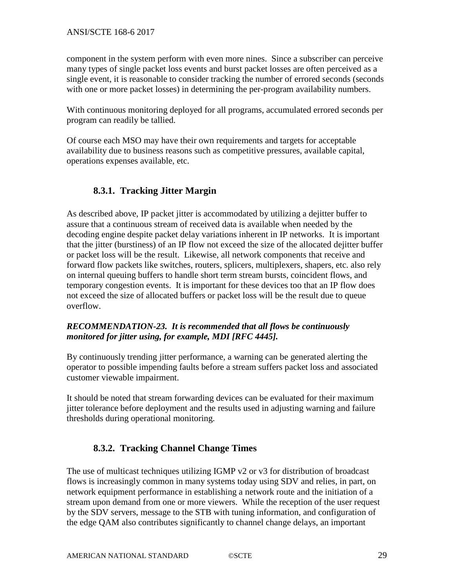component in the system perform with even more nines. Since a subscriber can perceive many types of single packet loss events and burst packet losses are often perceived as a single event, it is reasonable to consider tracking the number of errored seconds (seconds with one or more packet losses) in determining the per-program availability numbers.

With continuous monitoring deployed for all programs, accumulated errored seconds per program can readily be tallied.

Of course each MSO may have their own requirements and targets for acceptable availability due to business reasons such as competitive pressures, available capital, operations expenses available, etc.

# <span id="page-28-0"></span>**8.3.1. Tracking Jitter Margin**

As described above, IP packet jitter is accommodated by utilizing a dejitter buffer to assure that a continuous stream of received data is available when needed by the decoding engine despite packet delay variations inherent in IP networks. It is important that the jitter (burstiness) of an IP flow not exceed the size of the allocated dejitter buffer or packet loss will be the result. Likewise, all network components that receive and forward flow packets like switches, routers, splicers, multiplexers, shapers, etc. also rely on internal queuing buffers to handle short term stream bursts, coincident flows, and temporary congestion events. It is important for these devices too that an IP flow does not exceed the size of allocated buffers or packet loss will be the result due to queue overflow.

## *RECOMMENDATION-23. It is recommended that all flows be continuously monitored for jitter using, for example, MDI [RFC 4445].*

By continuously trending jitter performance, a warning can be generated alerting the operator to possible impending faults before a stream suffers packet loss and associated customer viewable impairment.

It should be noted that stream forwarding devices can be evaluated for their maximum jitter tolerance before deployment and the results used in adjusting warning and failure thresholds during operational monitoring.

# <span id="page-28-1"></span>**8.3.2. Tracking Channel Change Times**

The use of multicast techniques utilizing IGMP v2 or v3 for distribution of broadcast flows is increasingly common in many systems today using SDV and relies, in part, on network equipment performance in establishing a network route and the initiation of a stream upon demand from one or more viewers. While the reception of the user request by the SDV servers, message to the STB with tuning information, and configuration of the edge QAM also contributes significantly to channel change delays, an important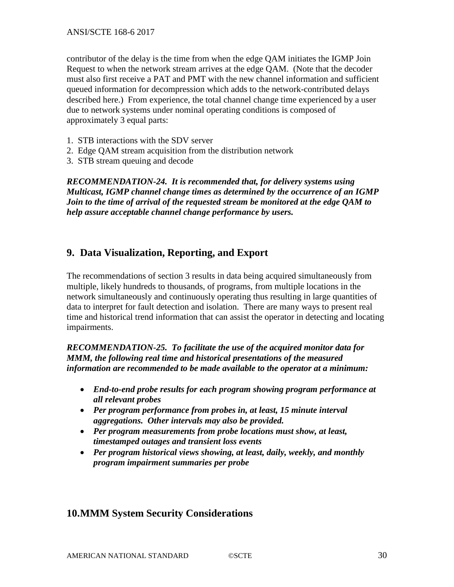contributor of the delay is the time from when the edge QAM initiates the IGMP Join Request to when the network stream arrives at the edge QAM. (Note that the decoder must also first receive a PAT and PMT with the new channel information and sufficient queued information for decompression which adds to the network-contributed delays described here.) From experience, the total channel change time experienced by a user due to network systems under nominal operating conditions is composed of approximately 3 equal parts:

- 1. STB interactions with the SDV server
- 2. Edge QAM stream acquisition from the distribution network
- 3. STB stream queuing and decode

*RECOMMENDATION-24. It is recommended that, for delivery systems using Multicast, IGMP channel change times as determined by the occurrence of an IGMP Join to the time of arrival of the requested stream be monitored at the edge QAM to help assure acceptable channel change performance by users.* 

## <span id="page-29-0"></span>**9. Data Visualization, Reporting, and Export**

The recommendations of section 3 results in data being acquired simultaneously from multiple, likely hundreds to thousands, of programs, from multiple locations in the network simultaneously and continuously operating thus resulting in large quantities of data to interpret for fault detection and isolation. There are many ways to present real time and historical trend information that can assist the operator in detecting and locating impairments.

*RECOMMENDATION-25. To facilitate the use of the acquired monitor data for MMM, the following real time and historical presentations of the measured information are recommended to be made available to the operator at a minimum:*

- *End-to-end probe results for each program showing program performance at all relevant probes*
- *Per program performance from probes in, at least, 15 minute interval aggregations. Other intervals may also be provided.*
- *Per program measurements from probe locations must show, at least, timestamped outages and transient loss events*
- *Per program historical views showing, at least, daily, weekly, and monthly program impairment summaries per probe*

## <span id="page-29-1"></span>**10.MMM System Security Considerations**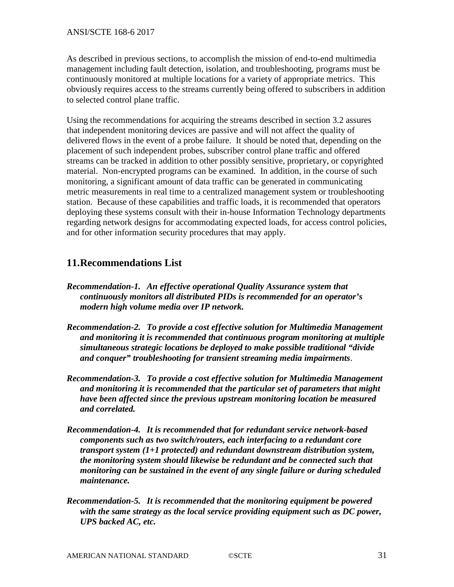As described in previous sections, to accomplish the mission of end-to-end multimedia management including fault detection, isolation, and troubleshooting, programs must be continuously monitored at multiple locations for a variety of appropriate metrics. This obviously requires access to the streams currently being offered to subscribers in addition to selected control plane traffic.

Using the recommendations for acquiring the streams described in section 3.2 assures that independent monitoring devices are passive and will not affect the quality of delivered flows in the event of a probe failure. It should be noted that, depending on the placement of such independent probes, subscriber control plane traffic and offered streams can be tracked in addition to other possibly sensitive, proprietary, or copyrighted material. Non-encrypted programs can be examined. In addition, in the course of such monitoring, a significant amount of data traffic can be generated in communicating metric measurements in real time to a centralized management system or troubleshooting station. Because of these capabilities and traffic loads, it is recommended that operators deploying these systems consult with their in-house Information Technology departments regarding network designs for accommodating expected loads, for access control policies, and for other information security procedures that may apply.

## <span id="page-30-0"></span>**11.Recommendations List**

- *Recommendation-1. An effective operational Quality Assurance system that continuously monitors all distributed PIDs is recommended for an operator's modern high volume media over IP network.*
- *Recommendation-2. To provide a cost effective solution for Multimedia Management and monitoring it is recommended that continuous program monitoring at multiple simultaneous strategic locations be deployed to make possible traditional "divide and conquer" troubleshooting for transient streaming media impairments*.
- *Recommendation-3. To provide a cost effective solution for Multimedia Management and monitoring it is recommended that the particular set of parameters that might have been affected since the previous upstream monitoring location be measured and correlated.*
- *Recommendation-4. It is recommended that for redundant service network-based components such as two switch/routers, each interfacing to a redundant core transport system (1+1 protected) and redundant downstream distribution system, the monitoring system should likewise be redundant and be connected such that monitoring can be sustained in the event of any single failure or during scheduled maintenance.*
- *Recommendation-5. It is recommended that the monitoring equipment be powered with the same strategy as the local service providing equipment such as DC power, UPS backed AC, etc.*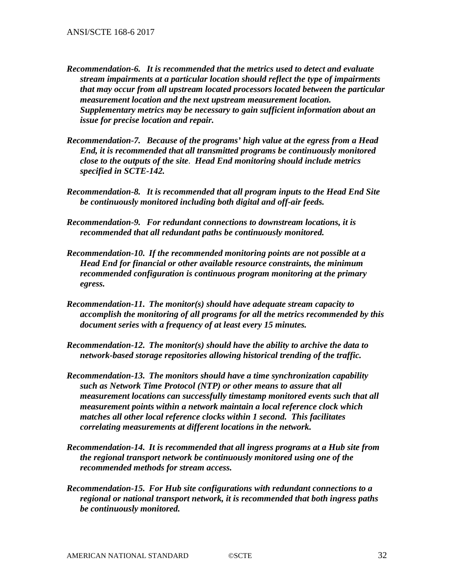- *Recommendation-6. It is recommended that the metrics used to detect and evaluate stream impairments at a particular location should reflect the type of impairments that may occur from all upstream located processors located between the particular measurement location and the next upstream measurement location. Supplementary metrics may be necessary to gain sufficient information about an issue for precise location and repair.*
- *Recommendation-7. Because of the programs' high value at the egress from a Head End, it is recommended that all transmitted programs be continuously monitored close to the outputs of the site*. *Head End monitoring should include metrics specified in SCTE-142.*
- *Recommendation-8. It is recommended that all program inputs to the Head End Site be continuously monitored including both digital and off-air feeds.*
- *Recommendation-9. For redundant connections to downstream locations, it is recommended that all redundant paths be continuously monitored.*
- *Recommendation-10. If the recommended monitoring points are not possible at a Head End for financial or other available resource constraints, the minimum recommended configuration is continuous program monitoring at the primary egress.*
- *Recommendation-11. The monitor(s) should have adequate stream capacity to accomplish the monitoring of all programs for all the metrics recommended by this document series with a frequency of at least every 15 minutes.*
- *Recommendation-12. The monitor(s) should have the ability to archive the data to network-based storage repositories allowing historical trending of the traffic.*
- *Recommendation-13. The monitors should have a time synchronization capability such as Network Time Protocol (NTP) or other means to assure that all measurement locations can successfully timestamp monitored events such that all measurement points within a network maintain a local reference clock which matches all other local reference clocks within 1 second. This facilitates correlating measurements at different locations in the network.*
- *Recommendation-14. It is recommended that all ingress programs at a Hub site from the regional transport network be continuously monitored using one of the recommended methods for stream access.*
- *Recommendation-15. For Hub site configurations with redundant connections to a regional or national transport network, it is recommended that both ingress paths be continuously monitored.*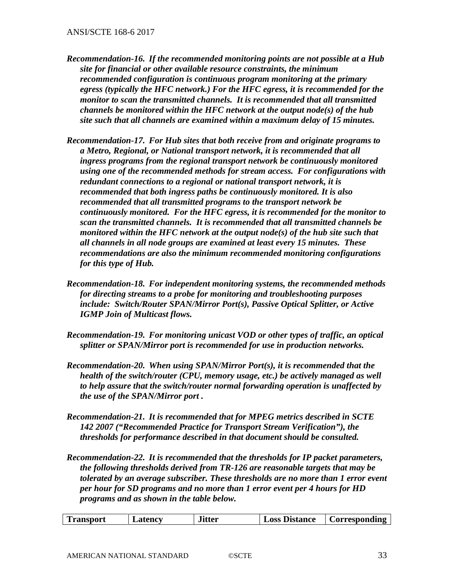- *Recommendation-16. If the recommended monitoring points are not possible at a Hub site for financial or other available resource constraints, the minimum recommended configuration is continuous program monitoring at the primary egress (typically the HFC network.) For the HFC egress, it is recommended for the monitor to scan the transmitted channels. It is recommended that all transmitted channels be monitored within the HFC network at the output node(s) of the hub site such that all channels are examined within a maximum delay of 15 minutes.*
- *Recommendation-17. For Hub sites that both receive from and originate programs to a Metro, Regional, or National transport network, it is recommended that all ingress programs from the regional transport network be continuously monitored using one of the recommended methods for stream access. For configurations with redundant connections to a regional or national transport network, it is recommended that both ingress paths be continuously monitored. It is also recommended that all transmitted programs to the transport network be continuously monitored. For the HFC egress, it is recommended for the monitor to scan the transmitted channels. It is recommended that all transmitted channels be monitored within the HFC network at the output node(s) of the hub site such that all channels in all node groups are examined at least every 15 minutes. These recommendations are also the minimum recommended monitoring configurations for this type of Hub.*
- *Recommendation-18. For independent monitoring systems, the recommended methods for directing streams to a probe for monitoring and troubleshooting purposes include: Switch/Router SPAN/Mirror Port(s), Passive Optical Splitter, or Active IGMP Join of Multicast flows.*
- *Recommendation-19. For monitoring unicast VOD or other types of traffic, an optical splitter or SPAN/Mirror port is recommended for use in production networks.*
- *Recommendation-20. When using SPAN/Mirror Port(s), it is recommended that the health of the switch/router (CPU, memory usage, etc.) be actively managed as well to help assure that the switch/router normal forwarding operation is unaffected by the use of the SPAN/Mirror port .*
- *Recommendation-21. It is recommended that for MPEG metrics described in SCTE 142 2007 ("Recommended Practice for Transport Stream Verification"), the thresholds for performance described in that document should be consulted.*
- *Recommendation-22. It is recommended that the thresholds for IP packet parameters, the following thresholds derived from TR-126 are reasonable targets that may be tolerated by an average subscriber. These thresholds are no more than 1 error event per hour for SD programs and no more than 1 error event per 4 hours for HD programs and as shown in the table below.*

|  | <b>Transport</b> | Latency | Jitter | LOSS<br><b>Distance</b> | <b>Corresponding</b> |
|--|------------------|---------|--------|-------------------------|----------------------|
|--|------------------|---------|--------|-------------------------|----------------------|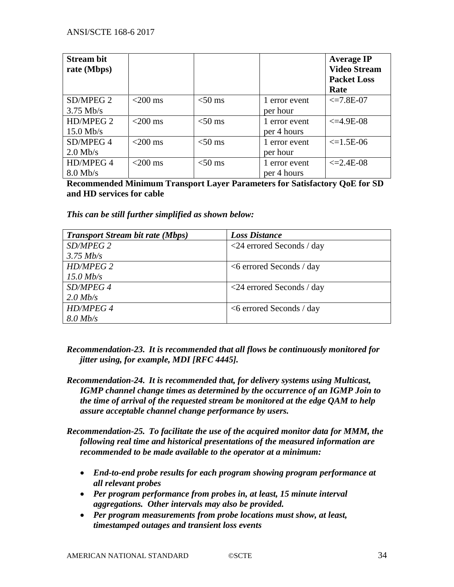| <b>Stream bit</b><br>rate (Mbps) |            |           |                              | <b>Average IP</b><br><b>Video Stream</b><br><b>Packet Loss</b><br>Rate |
|----------------------------------|------------|-----------|------------------------------|------------------------------------------------------------------------|
| SD/MPEG 2<br>$3.75$ Mb/s         | $<$ 200 ms | $<$ 50 ms | 1 error event<br>per hour    | $\leq$ 7.8E-07                                                         |
| HD/MPEG 2<br>$15.0$ Mb/s         | $<$ 200 ms | $<$ 50 ms | 1 error event<br>per 4 hours | $\leq$ =4.9E-08                                                        |
| SD/MPEG 4<br>$2.0$ Mb/s          | $<$ 200 ms | $<$ 50 ms | 1 error event<br>per hour    | $\leq$ 1.5E-06                                                         |
| HD/MPEG 4<br>$8.0$ Mb/s          | $<$ 200 ms | $<$ 50 ms | 1 error event<br>per 4 hours | $\leq$ 2.4E-08                                                         |

**Recommended Minimum Transport Layer Parameters for Satisfactory QoE for SD and HD services for cable**

*This can be still further simplified as shown below:*

| <b>Transport Stream bit rate (Mbps)</b> | <b>Loss Distance</b>               |
|-----------------------------------------|------------------------------------|
| SD/MPEG 2                               | $\langle$ 24 errored Seconds / day |
| $3.75$ Mb/s                             |                                    |
| <b>HD/MPEG 2</b>                        | $<6$ errored Seconds / day         |
| $15.0$ Mb/s                             |                                    |
| SD/MPEG 4                               | $\langle$ 24 errored Seconds / day |
| $2.0$ Mb/s                              |                                    |
| <b>HD/MPEG 4</b>                        | $<6$ errored Seconds / day         |
| $8.0$ Mb/s                              |                                    |

- *Recommendation-23. It is recommended that all flows be continuously monitored for jitter using, for example, MDI [RFC 4445].*
- *Recommendation-24. It is recommended that, for delivery systems using Multicast, IGMP channel change times as determined by the occurrence of an IGMP Join to the time of arrival of the requested stream be monitored at the edge QAM to help assure acceptable channel change performance by users.*
- *Recommendation-25. To facilitate the use of the acquired monitor data for MMM, the following real time and historical presentations of the measured information are recommended to be made available to the operator at a minimum:*
	- *End-to-end probe results for each program showing program performance at all relevant probes*
	- *Per program performance from probes in, at least, 15 minute interval aggregations. Other intervals may also be provided.*
	- *Per program measurements from probe locations must show, at least, timestamped outages and transient loss events*